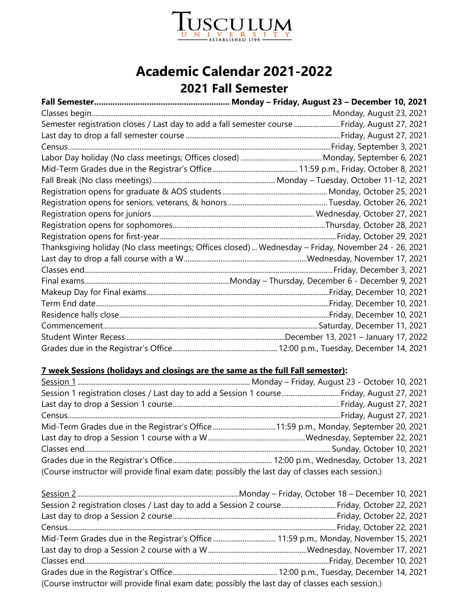

## **Academic Calendar 2021-2022 2021 Fall Semester**

| Semester registration closes / Last day to add a fall semester course  Friday, August 27, 2021       |
|------------------------------------------------------------------------------------------------------|
|                                                                                                      |
|                                                                                                      |
|                                                                                                      |
|                                                                                                      |
|                                                                                                      |
|                                                                                                      |
|                                                                                                      |
|                                                                                                      |
|                                                                                                      |
|                                                                                                      |
| Thanksgiving holiday (No class meetings; Offices closed)  Wednesday - Friday, November 24 - 26, 2021 |
|                                                                                                      |
|                                                                                                      |
|                                                                                                      |
|                                                                                                      |
|                                                                                                      |
|                                                                                                      |
|                                                                                                      |
|                                                                                                      |
|                                                                                                      |

#### **7 week Sessions (holidays and closings are the same as the full Fall semester):**

| Session 1 registration closes / Last day to add a Session 1 courseFriday, August 27, 2021        |  |  |
|--------------------------------------------------------------------------------------------------|--|--|
|                                                                                                  |  |  |
|                                                                                                  |  |  |
|                                                                                                  |  |  |
|                                                                                                  |  |  |
|                                                                                                  |  |  |
|                                                                                                  |  |  |
| (Course instructor will provide final exam date; possibly the last day of classes each session.) |  |  |

| Session 2 registration closes / Last day to add a Session 2 courseFriday, October 22, 2021       |  |
|--------------------------------------------------------------------------------------------------|--|
|                                                                                                  |  |
|                                                                                                  |  |
|                                                                                                  |  |
|                                                                                                  |  |
|                                                                                                  |  |
|                                                                                                  |  |
| (Course instructor will provide final exam date; possibly the last day of classes each session.) |  |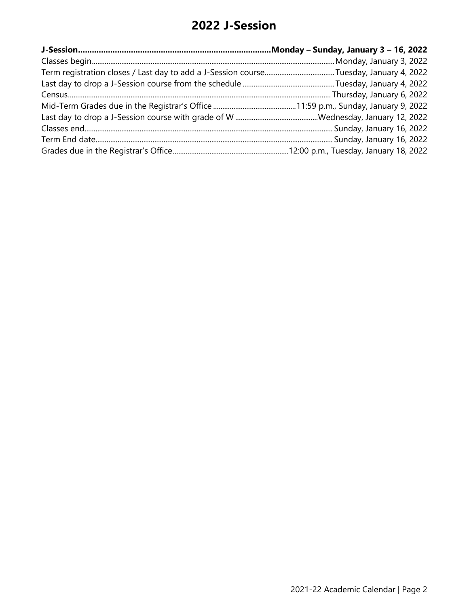## **2022 J-Session**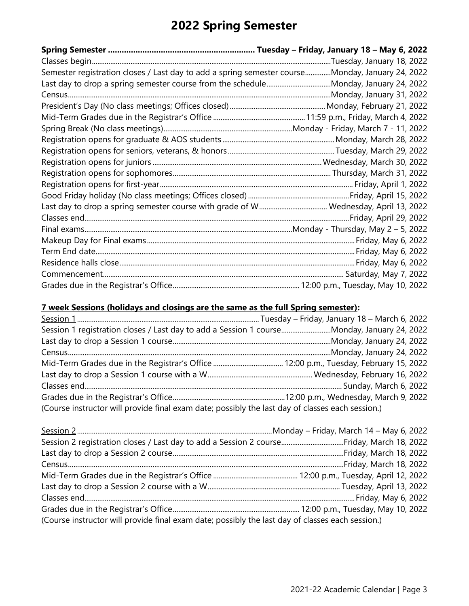# **2022 Spring Semester**

| Semester registration closes / Last day to add a spring semester courseMonday, January 24, 2022 |  |
|-------------------------------------------------------------------------------------------------|--|
|                                                                                                 |  |
|                                                                                                 |  |
|                                                                                                 |  |
|                                                                                                 |  |
|                                                                                                 |  |
|                                                                                                 |  |
|                                                                                                 |  |
|                                                                                                 |  |
|                                                                                                 |  |
|                                                                                                 |  |
|                                                                                                 |  |
|                                                                                                 |  |
|                                                                                                 |  |
|                                                                                                 |  |
|                                                                                                 |  |
|                                                                                                 |  |
|                                                                                                 |  |
|                                                                                                 |  |
|                                                                                                 |  |

### **7 week Sessions (holidays and closings are the same as the full Spring semester):**

| Session 1 registration closes / Last day to add a Session 1 courseMonday, January 24, 2022       |  |
|--------------------------------------------------------------------------------------------------|--|
|                                                                                                  |  |
|                                                                                                  |  |
|                                                                                                  |  |
|                                                                                                  |  |
|                                                                                                  |  |
|                                                                                                  |  |
| (Course instructor will provide final exam date; possibly the last day of classes each session.) |  |

| (Course instructor will provide final exam date; possibly the last day of classes each session.) |  |  |
|--------------------------------------------------------------------------------------------------|--|--|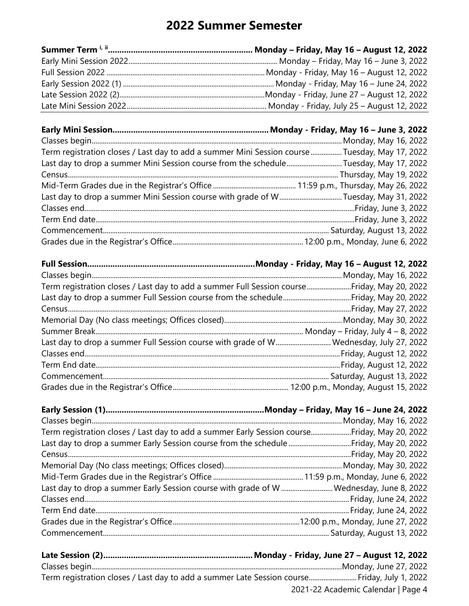## **2022 Summer Semester**

| Term registration closes / Last day to add a summer Mini Session course  Tuesday, May 17, 2022 |  |
|------------------------------------------------------------------------------------------------|--|
| Last day to drop a summer Mini Session course from the scheduleTuesday, May 17, 2022           |  |
|                                                                                                |  |
|                                                                                                |  |
| Last day to drop a summer Mini Session course with grade of WTuesday, May 31, 2022             |  |
|                                                                                                |  |
|                                                                                                |  |
|                                                                                                |  |
|                                                                                                |  |
|                                                                                                |  |
|                                                                                                |  |
|                                                                                                |  |
| Term registration closes / Last day to add a summer Full Session courseFriday, May 20, 2022    |  |
|                                                                                                |  |
|                                                                                                |  |
|                                                                                                |  |
|                                                                                                |  |
| Last day to drop a summer Full Session course with grade of W Wednesday, July 27, 2022         |  |
|                                                                                                |  |
|                                                                                                |  |
|                                                                                                |  |
|                                                                                                |  |
|                                                                                                |  |
|                                                                                                |  |
|                                                                                                |  |
| Term registration closes / Last day to add a summer Early Session courseFriday, May 20, 2022   |  |
|                                                                                                |  |
|                                                                                                |  |
|                                                                                                |  |
|                                                                                                |  |
| Last day to drop a summer Early Session course with grade of W  Wednesday, June 8, 2022        |  |
|                                                                                                |  |
|                                                                                                |  |
|                                                                                                |  |
|                                                                                                |  |
|                                                                                                |  |
|                                                                                                |  |

| нис эсээгэн (развитивни политивни политивни политивного година) - гарантар тамирган година тамирган годин |                                    |
|-----------------------------------------------------------------------------------------------------------|------------------------------------|
|                                                                                                           |                                    |
| Term registration closes / Last day to add a summer Late Session course Friday, July 1, 2022              |                                    |
|                                                                                                           | 2021-22 Academic Calendar   Page 4 |